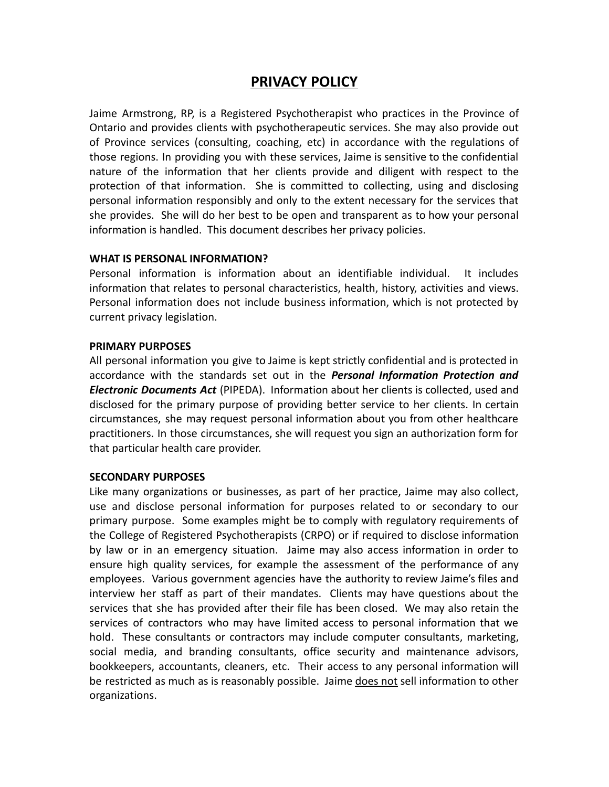# **PRIVACY POLICY**

Jaime Armstrong, RP, is a Registered Psychotherapist who practices in the Province of Ontario and provides clients with psychotherapeutic services. She may also provide out of Province services (consulting, coaching, etc) in accordance with the regulations of those regions. In providing you with these services, Jaime is sensitive to the confidential nature of the information that her clients provide and diligent with respect to the protection of that information. She is committed to collecting, using and disclosing personal information responsibly and only to the extent necessary for the services that she provides. She will do her best to be open and transparent as to how your personal information is handled. This document describes her privacy policies.

# **WHAT IS PERSONAL INFORMATION?**

Personal information is information about an identifiable individual. It includes information that relates to personal characteristics, health, history, activities and views. Personal information does not include business information, which is not protected by current privacy legislation.

# **PRIMARY PURPOSES**

All personal information you give to Jaime is kept strictly confidential and is protected in accordance with the standards set out in the *Personal Information Protection and Electronic Documents Act* (PIPEDA). Information about her clients is collected, used and disclosed for the primary purpose of providing better service to her clients. In certain circumstances, she may request personal information about you from other healthcare practitioners. In those circumstances, she will request you sign an authorization form for that particular health care provider.

# **SECONDARY PURPOSES**

Like many organizations or businesses, as part of her practice, Jaime may also collect, use and disclose personal information for purposes related to or secondary to our primary purpose. Some examples might be to comply with regulatory requirements of the College of Registered Psychotherapists (CRPO) or if required to disclose information by law or in an emergency situation. Jaime may also access information in order to ensure high quality services, for example the assessment of the performance of any employees. Various government agencies have the authority to review Jaime's files and interview her staff as part of their mandates. Clients may have questions about the services that she has provided after their file has been closed. We may also retain the services of contractors who may have limited access to personal information that we hold. These consultants or contractors may include computer consultants, marketing, social media, and branding consultants, office security and maintenance advisors, bookkeepers, accountants, cleaners, etc. Their access to any personal information will be restricted as much as is reasonably possible. Jaime does not sell information to other organizations.